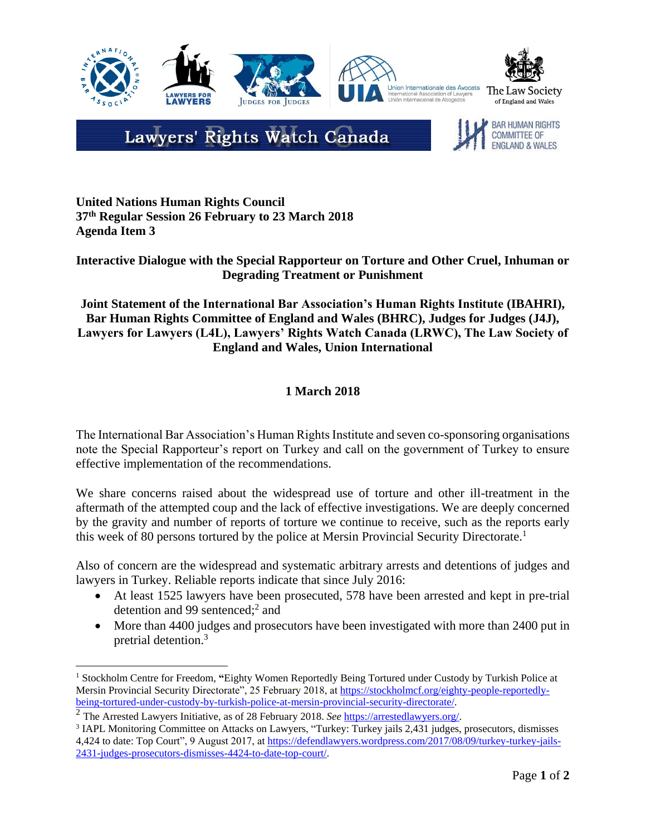

# Lawyers' Rights Watch Canada

**BAR HUMAN RIGHTS COMMITTEE OF ENGLAND & WALES** 

**United Nations Human Rights Council 37th Regular Session 26 February to 23 March 2018 Agenda Item 3**

## **Interactive Dialogue with the Special Rapporteur on Torture and Other Cruel, Inhuman or Degrading Treatment or Punishment**

## **Joint Statement of the International Bar Association's Human Rights Institute (IBAHRI), Bar Human Rights Committee of England and Wales (BHRC), Judges for Judges (J4J), Lawyers for Lawyers (L4L), Lawyers' Rights Watch Canada (LRWC), The Law Society of England and Wales, Union International**

# **1 March 2018**

The International Bar Association's Human Rights Institute and seven co-sponsoring organisations note the Special Rapporteur's report on Turkey and call on the government of Turkey to ensure effective implementation of the recommendations.

We share concerns raised about the widespread use of torture and other ill-treatment in the aftermath of the attempted coup and the lack of effective investigations. We are deeply concerned by the gravity and number of reports of torture we continue to receive, such as the reports early this week of 80 persons tortured by the police at Mersin Provincial Security Directorate. 1

Also of concern are the widespread and systematic arbitrary arrests and detentions of judges and lawyers in Turkey. Reliable reports indicate that since July 2016:

- At least 1525 lawyers have been prosecuted, 578 have been arrested and kept in pre-trial detention and 99 sentenced;<sup>2</sup> and
- More than 4400 judges and prosecutors have been investigated with more than 2400 put in pretrial detention.<sup>3</sup>

 $\overline{a}$ <sup>1</sup> Stockholm Centre for Freedom, "Eighty Women Reportedly Being Tortured under Custody by Turkish Police at Mersin Provincial Security Directorate", 25 February 2018, a[t https://stockholmcf.org/eighty-people-reportedly](https://stockholmcf.org/eighty-people-reportedly-being-tortured-under-custody-by-turkish-police-at-mersin-provincial-security-directorate/)[being-tortured-under-custody-by-turkish-police-at-mersin-provincial-security-directorate/.](https://stockholmcf.org/eighty-people-reportedly-being-tortured-under-custody-by-turkish-police-at-mersin-provincial-security-directorate/)

<sup>2</sup> The Arrested Lawyers Initiative, as of 28 February 2018. *See* [https://arrestedlawyers.org/.](https://arrestedlawyers.org/)

<sup>&</sup>lt;sup>3</sup> IAPL Monitoring Committee on Attacks on Lawyers, "Turkey: Turkey jails 2,431 judges, prosecutors, dismisses 4,424 to date: Top Court", 9 August 2017, a[t https://defendlawyers.wordpress.com/2017/08/09/turkey-turkey-jails-](https://defendlawyers.wordpress.com/2017/08/09/turkey-turkey-jails-2431-judges-prosecutors-dismisses-4424-to-date-top-court/)[2431-judges-prosecutors-dismisses-4424-to-date-top-court/.](https://defendlawyers.wordpress.com/2017/08/09/turkey-turkey-jails-2431-judges-prosecutors-dismisses-4424-to-date-top-court/)